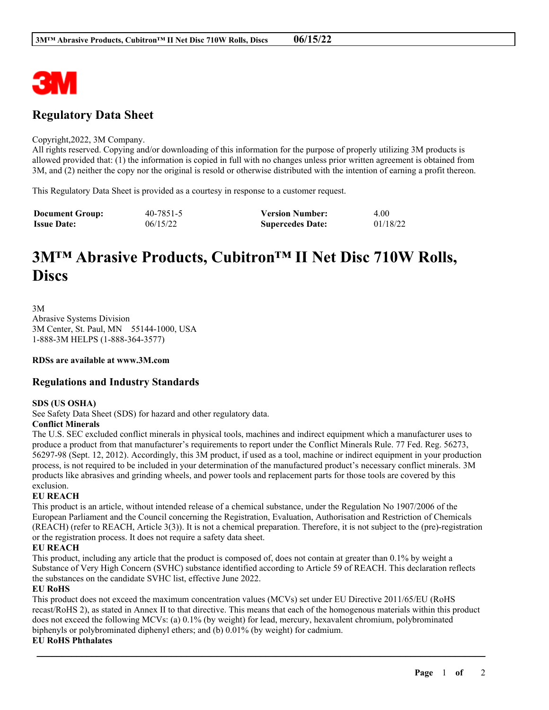

# **Regulatory Data Sheet**

#### Copyright,2022, 3M Company.

All rights reserved. Copying and/or downloading of this information for the purpose of properly utilizing 3M products is allowed provided that: (1) the information is copied in full with no changes unless prior written agreement is obtained from 3M, and (2) neither the copy nor the original is resold or otherwise distributed with the intention of earning a profit thereon.

This Regulatory Data Sheet is provided as a courtesy in response to a customer request.

| <b>Document Group:</b> | 40-7851-5 | <b>Version Number:</b>  | 4.00     |
|------------------------|-----------|-------------------------|----------|
| <b>Issue Date:</b>     | 06/15/22  | <b>Supercedes Date:</b> | 01/18/22 |

# **3M™ Abrasive Products, Cubitron™ II Net Disc 710W Rolls, Discs**

3M Abrasive Systems Division 3M Center, St. Paul, MN 55144-1000, USA 1-888-3M HELPS (1-888-364-3577)

**RDSs are available at www.3M.com**

### **Regulations and Industry Standards**

#### **SDS (US OSHA)**

See Safety Data Sheet (SDS) for hazard and other regulatory data.

#### **Conflict Minerals**

The U.S. SEC excluded conflict minerals in physical tools, machines and indirect equipment which a manufacturer uses to produce a product from that manufacturer's requirements to report under the Conflict Minerals Rule. 77 Fed. Reg. 56273, 56297-98 (Sept. 12, 2012). Accordingly, this 3M product, if used as a tool, machine or indirect equipment in your production process, is not required to be included in your determination of the manufactured product's necessary conflict minerals. 3M products like abrasives and grinding wheels, and power tools and replacement parts for those tools are covered by this exclusion.

#### **EU REACH**

This product is an article, without intended release of a chemical substance, under the Regulation No 1907/2006 of the European Parliament and the Council concerning the Registration, Evaluation, Authorisation and Restriction of Chemicals (REACH) (refer to REACH, Article 3(3)). It is not a chemical preparation. Therefore, it is not subject to the (pre)-registration or the registration process. It does not require a safety data sheet.

#### **EU REACH**

This product, including any article that the product is composed of, does not contain at greater than 0.1% by weight a Substance of Very High Concern (SVHC) substance identified according to Article 59 of REACH. This declaration reflects the substances on the candidate SVHC list, effective June 2022.

#### **EU RoHS**

This product does not exceed the maximum concentration values (MCVs) set under EU Directive 2011/65/EU (RoHS recast/RoHS 2), as stated in Annex II to that directive. This means that each of the homogenous materials within this product does not exceed the following MCVs: (a) 0.1% (by weight) for lead, mercury, hexavalent chromium, polybrominated biphenyls or polybrominated diphenyl ethers; and (b) 0.01% (by weight) for cadmium.

\_\_\_\_\_\_\_\_\_\_\_\_\_\_\_\_\_\_\_\_\_\_\_\_\_\_\_\_\_\_\_\_\_\_\_\_\_\_\_\_\_\_\_\_\_\_\_\_\_\_\_\_\_\_\_\_\_\_\_\_\_\_\_\_\_\_\_\_\_\_\_\_\_\_\_\_\_\_\_\_\_\_\_\_\_\_\_\_\_\_

#### **EU RoHS Phthalates**